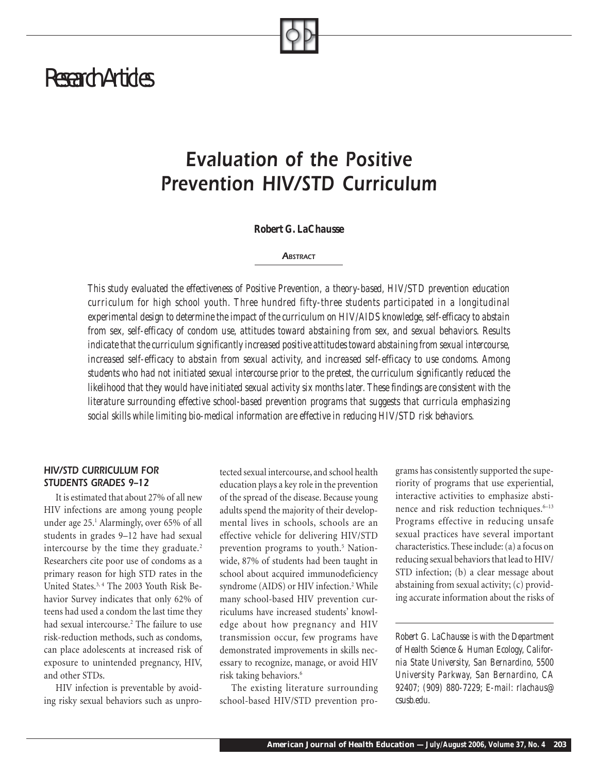# *Research Articles*

## *Evaluation of the Positive Prevention HIV/STD Curriculum*

*Robert G. LaChausse*

**ABSTRACT** 

*This study evaluated the effectiveness of Positive Prevention, a theory-based, HIV/STD prevention education curriculum for high school youth. Three hundred fifty-three students participated in a longitudinal experimental design to determine the impact of the curriculum on HIV/AIDS knowledge, self-efficacy to abstain from sex, self-efficacy of condom use, attitudes toward abstaining from sex, and sexual behaviors. Results indicate that the curriculum significantly increased positive attitudes toward abstaining from sexual intercourse, increased self-efficacy to abstain from sexual activity, and increased self-efficacy to use condoms. Among students who had not initiated sexual intercourse prior to the pretest, the curriculum significantly reduced the likelihood that they would have initiated sexual activity six months later. These findings are consistent with the literature surrounding effective school-based prevention programs that suggests that curricula emphasizing social skills while limiting bio-medical information are effective in reducing HIV/STD risk behaviors.*

## *HIV/STD CURRICULUM FOR STUDENTS GRADES 9–12*

It is estimated that about 27% of all new HIV infections are among young people under age 25.1 Alarmingly, over 65% of all students in grades 9–12 have had sexual intercourse by the time they graduate.<sup>2</sup> Researchers cite poor use of condoms as a primary reason for high STD rates in the United States.3, 4 The 2003 Youth Risk Behavior Survey indicates that only 62% of teens had used a condom the last time they had sexual intercourse.2 The failure to use risk-reduction methods, such as condoms, can place adolescents at increased risk of exposure to unintended pregnancy, HIV, and other STDs.

HIV infection is preventable by avoiding risky sexual behaviors such as unprotected sexual intercourse, and school health education plays a key role in the prevention of the spread of the disease. Because young adults spend the majority of their developmental lives in schools, schools are an effective vehicle for delivering HIV/STD prevention programs to youth.<sup>5</sup> Nationwide, 87% of students had been taught in school about acquired immunodeficiency syndrome (AIDS) or HIV infection.<sup>2</sup> While many school-based HIV prevention curriculums have increased students' knowledge about how pregnancy and HIV transmission occur, few programs have demonstrated improvements in skills necessary to recognize, manage, or avoid HIV risk taking behaviors.<sup>6</sup>

The existing literature surrounding school-based HIV/STD prevention programs has consistently supported the superiority of programs that use experiential, interactive activities to emphasize abstinence and risk reduction techniques.<sup>6-13</sup> Programs effective in reducing unsafe sexual practices have several important characteristics. These include: (a) a focus on reducing sexual behaviors that lead to HIV/ STD infection; (b) a clear message about abstaining from sexual activity; (c) providing accurate information about the risks of

*Robert G. LaChausse is with the Department of Health Science & Human Ecology, California State University, San Bernardino, 5500 University Parkway, San Bernardino, CA 92407; (909) 880-7229; E-mail: rlachaus@ csusb.edu.*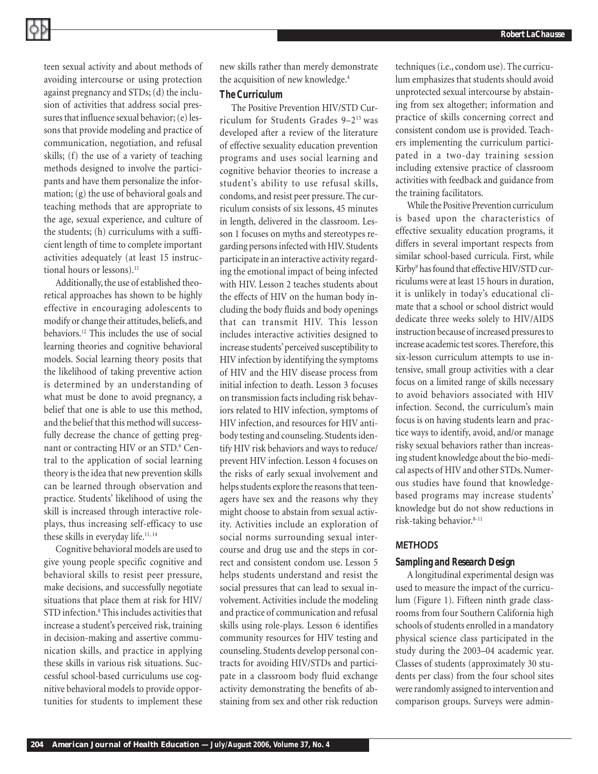teen sexual activity and about methods of avoiding intercourse or using protection against pregnancy and STDs; (d) the inclusion of activities that address social pressures that influence sexual behavior; (e) lessons that provide modeling and practice of communication, negotiation, and refusal skills; (f) the use of a variety of teaching methods designed to involve the participants and have them personalize the information; (g) the use of behavioral goals and teaching methods that are appropriate to the age, sexual experience, and culture of the students; (h) curriculums with a sufficient length of time to complete important activities adequately (at least 15 instructional hours or lessons).<sup>11</sup>

Additionally, the use of established theoretical approaches has shown to be highly effective in encouraging adolescents to modify or change their attitudes, beliefs, and behaviors.12 This includes the use of social learning theories and cognitive behavioral models. Social learning theory posits that the likelihood of taking preventive action is determined by an understanding of what must be done to avoid pregnancy, a belief that one is able to use this method, and the belief that this method will successfully decrease the chance of getting pregnant or contracting HIV or an STD.<sup>6</sup> Central to the application of social learning theory is the idea that new prevention skills can be learned through observation and practice. Students' likelihood of using the skill is increased through interactive roleplays, thus increasing self-efficacy to use these skills in everyday life.<sup>11, 14</sup>

Cognitive behavioral models are used to give young people specific cognitive and behavioral skills to resist peer pressure, make decisions, and successfully negotiate situations that place them at risk for HIV/ STD infection.<sup>8</sup> This includes activities that increase a student's perceived risk, training in decision-making and assertive communication skills, and practice in applying these skills in various risk situations. Successful school-based curriculums use cognitive behavioral models to provide opportunities for students to implement these new skills rather than merely demonstrate the acquisition of new knowledge.<sup>4</sup>

#### *The Curriculum*

The Positive Prevention HIV/STD Curriculum for Students Grades 9–215 was developed after a review of the literature of effective sexuality education prevention programs and uses social learning and cognitive behavior theories to increase a student's ability to use refusal skills, condoms, and resist peer pressure. The curriculum consists of six lessons, 45 minutes in length, delivered in the classroom. Lesson 1 focuses on myths and stereotypes regarding persons infected with HIV. Students participate in an interactive activity regarding the emotional impact of being infected with HIV. Lesson 2 teaches students about the effects of HIV on the human body including the body fluids and body openings that can transmit HIV. This lesson includes interactive activities designed to increase students' perceived susceptibility to HIV infection by identifying the symptoms of HIV and the HIV disease process from initial infection to death. Lesson 3 focuses on transmission facts including risk behaviors related to HIV infection, symptoms of HIV infection, and resources for HIV antibody testing and counseling. Students identify HIV risk behaviors and ways to reduce/ prevent HIV infection. Lesson 4 focuses on the risks of early sexual involvement and helps students explore the reasons that teenagers have sex and the reasons why they might choose to abstain from sexual activity. Activities include an exploration of social norms surrounding sexual intercourse and drug use and the steps in correct and consistent condom use. Lesson 5 helps students understand and resist the social pressures that can lead to sexual involvement. Activities include the modeling and practice of communication and refusal skills using role-plays. Lesson 6 identifies community resources for HIV testing and counseling. Students develop personal contracts for avoiding HIV/STDs and participate in a classroom body fluid exchange activity demonstrating the benefits of abstaining from sex and other risk reduction

techniques (i.e., condom use). The curriculum emphasizes that students should avoid unprotected sexual intercourse by abstaining from sex altogether; information and practice of skills concerning correct and consistent condom use is provided. Teachers implementing the curriculum participated in a two-day training session including extensive practice of classroom activities with feedback and guidance from the training facilitators.

While the Positive Prevention curriculum is based upon the characteristics of effective sexuality education programs, it differs in several important respects from similar school-based curricula. First, while Kirby9 has found that effective HIV/STD curriculums were at least 15 hours in duration, it is unlikely in today's educational climate that a school or school district would dedicate three weeks solely to HIV/AIDS instruction because of increased pressures to increase academic test scores. Therefore, this six-lesson curriculum attempts to use intensive, small group activities with a clear focus on a limited range of skills necessary to avoid behaviors associated with HIV infection. Second, the curriculum's main focus is on having students learn and practice ways to identify, avoid, and/or manage risky sexual behaviors rather than increasing student knowledge about the bio-medical aspects of HIV and other STDs. Numerous studies have found that knowledgebased programs may increase students' knowledge but do not show reductions in risk-taking behavior.<sup>8-11</sup>

## *METHODS*

#### *Sampling and Research Design*

A longitudinal experimental design was used to measure the impact of the curriculum (Figure 1). Fifteen ninth grade classrooms from four Southern California high schools of students enrolled in a mandatory physical science class participated in the study during the 2003–04 academic year. Classes of students (approximately 30 students per class) from the four school sites were randomly assigned to intervention and comparison groups. Surveys were admin-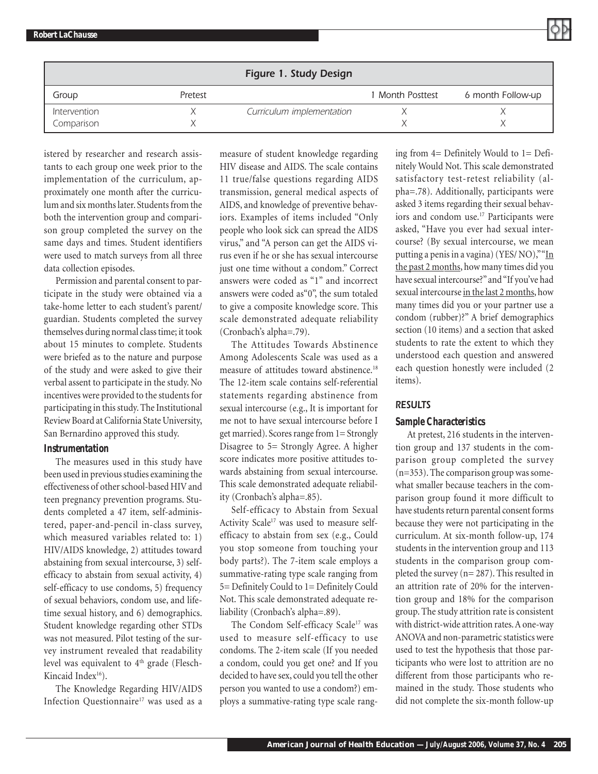

|                            |         | <b>Figure 1. Study Design</b> |                  |                   |
|----------------------------|---------|-------------------------------|------------------|-------------------|
| Group                      | Pretest |                               | 1 Month Posttest | 6 month Follow-up |
| Intervention<br>Comparison |         | Curriculum implementation     |                  |                   |

istered by researcher and research assistants to each group one week prior to the implementation of the curriculum, approximately one month after the curriculum and six months later. Students from the both the intervention group and comparison group completed the survey on the same days and times. Student identifiers were used to match surveys from all three data collection episodes.

Permission and parental consent to participate in the study were obtained via a take-home letter to each student's parent/ guardian. Students completed the survey themselves during normal class time; it took about 15 minutes to complete. Students were briefed as to the nature and purpose of the study and were asked to give their verbal assent to participate in the study. No incentives were provided to the students for participating in this study. The Institutional Review Board at California State University, San Bernardino approved this study.

#### *Instrumentation*

The measures used in this study have been used in previous studies examining the effectiveness of other school-based HIV and teen pregnancy prevention programs. Students completed a 47 item, self-administered, paper-and-pencil in-class survey, which measured variables related to: 1) HIV/AIDS knowledge, 2) attitudes toward abstaining from sexual intercourse, 3) selfefficacy to abstain from sexual activity, 4) self-efficacy to use condoms, 5) frequency of sexual behaviors, condom use, and lifetime sexual history, and 6) demographics. Student knowledge regarding other STDs was not measured. Pilot testing of the survey instrument revealed that readability level was equivalent to 4<sup>th</sup> grade (Flesch-Kincaid Index<sup>16</sup>).

The Knowledge Regarding HIV/AIDS Infection Questionnaire<sup>17</sup> was used as a measure of student knowledge regarding HIV disease and AIDS. The scale contains 11 true/false questions regarding AIDS transmission, general medical aspects of AIDS, and knowledge of preventive behaviors. Examples of items included "Only people who look sick can spread the AIDS virus," and "A person can get the AIDS virus even if he or she has sexual intercourse just one time without a condom." Correct answers were coded as "1" and incorrect answers were coded as"0", the sum totaled to give a composite knowledge score. This scale demonstrated adequate reliability (Cronbach's alpha=.79).

The Attitudes Towards Abstinence Among Adolescents Scale was used as a measure of attitudes toward abstinence.<sup>18</sup> The 12-item scale contains self-referential statements regarding abstinence from sexual intercourse (e.g., It is important for me not to have sexual intercourse before I get married). Scores range from 1= Strongly Disagree to 5= Strongly Agree. A higher score indicates more positive attitudes towards abstaining from sexual intercourse. This scale demonstrated adequate reliability (Cronbach's alpha=.85).

Self-efficacy to Abstain from Sexual Activity Scale<sup>17</sup> was used to measure selfefficacy to abstain from sex (e.g., Could you stop someone from touching your body parts?). The 7-item scale employs a summative-rating type scale ranging from 5= Definitely Could to 1= Definitely Could Not. This scale demonstrated adequate reliability (Cronbach's alpha=.89).

The Condom Self-efficacy Scale<sup>17</sup> was used to measure self-efficacy to use condoms. The 2-item scale (If you needed a condom, could you get one? and If you decided to have sex, could you tell the other person you wanted to use a condom?) employs a summative-rating type scale rang-

ing from 4= Definitely Would to 1= Definitely Would Not. This scale demonstrated satisfactory test-retest reliability (alpha=.78). Additionally, participants were asked 3 items regarding their sexual behaviors and condom use.17 Participants were asked, "Have you ever had sexual intercourse? (By sexual intercourse, we mean putting a penis in a vagina) (YES/ NO),""In the past 2 months, how many times did you have sexual intercourse?" and "If you've had sexual intercourse in the last 2 months, how many times did you or your partner use a condom (rubber)?" A brief demographics section (10 items) and a section that asked students to rate the extent to which they understood each question and answered each question honestly were included (2 items).

### *RESULTS*

## *Sample Characteristics*

At pretest, 216 students in the intervention group and 137 students in the comparison group completed the survey (n=353). The comparison group was somewhat smaller because teachers in the comparison group found it more difficult to have students return parental consent forms because they were not participating in the curriculum. At six-month follow-up, 174 students in the intervention group and 113 students in the comparison group completed the survey (n= 287). This resulted in an attrition rate of 20% for the intervention group and 18% for the comparison group. The study attrition rate is consistent with district-wide attrition rates. A one-way ANOVA and non-parametric statistics were used to test the hypothesis that those participants who were lost to attrition are no different from those participants who remained in the study. Those students who did not complete the six-month follow-up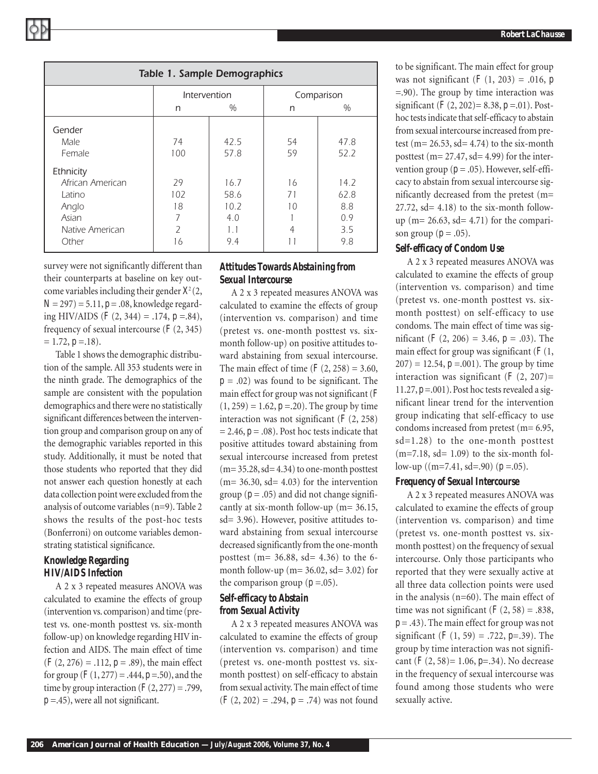| Table 1. Sample Demographics                                                          |                                                        |                                          |                     |                                          |  |
|---------------------------------------------------------------------------------------|--------------------------------------------------------|------------------------------------------|---------------------|------------------------------------------|--|
|                                                                                       | Intervention                                           |                                          | Comparison          |                                          |  |
|                                                                                       | n                                                      | $\frac{0}{0}$                            | n                   | $\%$                                     |  |
| Gender<br>Male<br>Female                                                              | 74<br>100                                              | 42.5<br>57.8                             | 54<br>59            | 47.8<br>52.2                             |  |
| Ethnicity<br>African American<br>Latino<br>Anglo<br>Asian<br>Native American<br>Other | 29<br>102<br>18<br>7<br>$\overline{\phantom{a}}$<br>16 | 16.7<br>58.6<br>10.2<br>4.0<br>11<br>9.4 | 16<br>71<br>10<br>4 | 14.2<br>62.8<br>8.8<br>0.9<br>3.5<br>9.8 |  |

survey were not significantly different than their counterparts at baseline on key outcome variables including their gender  $X^2(2)$ , *N* = 297) = 5.11, *p* = .08, knowledge regarding HIV/AIDS  $(F(2, 344) = .174, p = .84)$ , frequency of sexual intercourse  $(F(2, 345))$  $= 1.72, p = 18.$ 

Table 1 shows the demographic distribution of the sample. All 353 students were in the ninth grade. The demographics of the sample are consistent with the population demographics and there were no statistically significant differences between the intervention group and comparison group on any of the demographic variables reported in this study. Additionally, it must be noted that those students who reported that they did not answer each question honestly at each data collection point were excluded from the analysis of outcome variables (n=9). Table 2 shows the results of the post-hoc tests (Bonferroni) on outcome variables demonstrating statistical significance.

## *Knowledge Regarding HIV/AIDS Infection*

A 2 x 3 repeated measures ANOVA was calculated to examine the effects of group (intervention vs. comparison) and time (pretest vs. one-month posttest vs. six-month follow-up) on knowledge regarding HIV infection and AIDS. The main effect of time  $(F(2, 276) = .112, p = .89)$ , the main effect for group ( $F(1, 277) = .444$ ,  $p = .50$ ), and the time by group interaction  $(F(2, 277) = .799$ , *p* =.45), were all not significant.

## *Attitudes Towards Abstaining from Sexual Intercourse*

A 2 x 3 repeated measures ANOVA was calculated to examine the effects of group (intervention vs. comparison) and time (pretest vs. one-month posttest vs. sixmonth follow-up) on positive attitudes toward abstaining from sexual intercourse. The main effect of time  $(F(2, 258) = 3.60,$  $p = .02$ ) was found to be significant. The main effect for group was not significant (*F*  $(1, 259) = 1.62$ ,  $p = .20$ ). The group by time interaction was not significant  $(F(2, 258))$  $= 2.46, p = .08$ ). Post hoc tests indicate that positive attitudes toward abstaining from sexual intercourse increased from pretest  $(m= 35.28, sd= 4.34)$  to one-month posttest  $(m= 36.30, sd= 4.03)$  for the intervention group ( $p = .05$ ) and did not change significantly at six-month follow-up (m= 36.15, sd= 3.96). However, positive attitudes toward abstaining from sexual intercourse decreased significantly from the one-month posttest (m=  $36.88$ , sd=  $4.36$ ) to the 6month follow-up ( $m= 36.02$ ,  $sd= 3.02$ ) for the comparison group ( $p = .05$ ).

## *Self-efficacy to Abstain from Sexual Activity*

A 2 x 3 repeated measures ANOVA was calculated to examine the effects of group (intervention vs. comparison) and time (pretest vs. one-month posttest vs. sixmonth posttest) on self-efficacy to abstain from sexual activity. The main effect of time  $(F(2, 202) = .294, p = .74)$  was not found

to be significant. The main effect for group was not significant  $(F(1, 203) = .016, p)$ =.90). The group by time interaction was significant (*F* (2, 202)= 8.38, *p* =.01). Posthoc tests indicate that self-efficacy to abstain from sexual intercourse increased from pretest ( $m= 26.53$ ,  $sd= 4.74$ ) to the six-month posttest (m= 27.47, sd= 4.99) for the intervention group ( $p = .05$ ). However, self-efficacy to abstain from sexual intercourse significantly decreased from the pretest (m=  $27.72$ ,  $sd = 4.18$ ) to the six-month followup ( $m= 26.63$ ,  $sd= 4.71$ ) for the comparison group ( $p = .05$ ).

### *Self-efficacy of Condom Use*

A 2 x 3 repeated measures ANOVA was calculated to examine the effects of group (intervention vs. comparison) and time (pretest vs. one-month posttest vs. sixmonth posttest) on self-efficacy to use condoms. The main effect of time was significant (*F* (2, 206) = 3.46, *p* = .03). The main effect for group was significant (*F* (1,  $207$ ) = 12.54,  $p = .001$ ). The group by time interaction was significant  $(F(2, 207))$ = 11.27,  $p = .001$ ). Post hoc tests revealed a significant linear trend for the intervention group indicating that self-efficacy to use condoms increased from pretest (m= 6.95, sd=1.28) to the one-month posttest  $(m=7.18, sd=1.09)$  to the six-month follow-up  $((m=7.41, sd=.90)$   $(p=.05)$ .

#### *Frequency of Sexual Intercourse*

A 2 x 3 repeated measures ANOVA was calculated to examine the effects of group (intervention vs. comparison) and time (pretest vs. one-month posttest vs. sixmonth posttest) on the frequency of sexual intercourse. Only those participants who reported that they were sexually active at all three data collection points were used in the analysis (n=60). The main effect of time was not significant  $(F(2, 58) = .838,$ *p* = .43). The main effect for group was not significant (*F* (1, 59) = .722, *p*=.39). The group by time interaction was not significant (*F* (2, 58)= 1.06, *p*=.34). No decrease in the frequency of sexual intercourse was found among those students who were sexually active.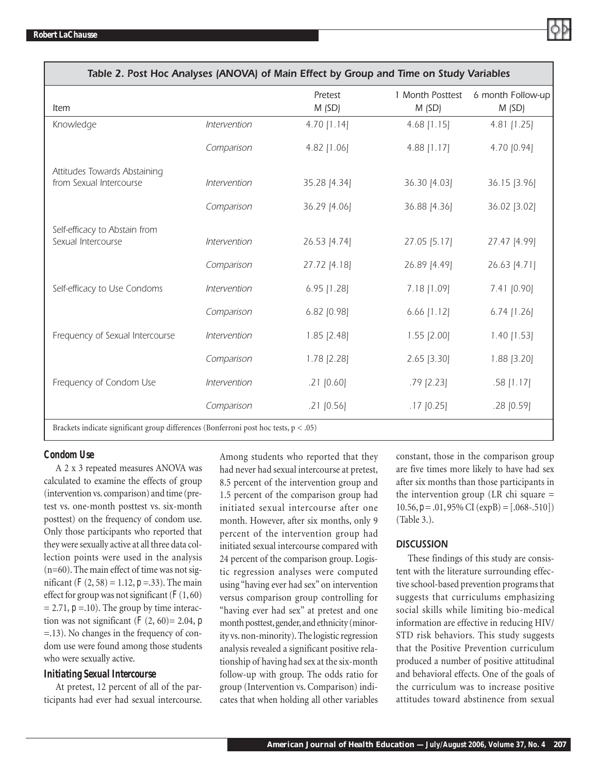

| Table 2. Post Hoc Analyses (ANOVA) of Main Effect by Group and Time on Study Variables  |              |                  |                            |                            |
|-----------------------------------------------------------------------------------------|--------------|------------------|----------------------------|----------------------------|
| Item                                                                                    |              | Pretest<br>M(SD) | 1 Month Posttest<br>M (SD) | 6 month Follow-up<br>M(SD) |
| Knowledge                                                                               | Intervention | $4.70$ [1.14]    | $4.68$ [1.15]              | $4.81$ [1.25]              |
|                                                                                         | Comparison   | 4.82 [1.06]      | 4.88 [1.17]                | 4.70 [0.94]                |
| Attitudes Towards Abstaining                                                            |              |                  |                            |                            |
| from Sexual Intercourse                                                                 | Intervention | 35.28 [4.34]     | 36.30 [4.03]               | 36.15 [3.96]               |
|                                                                                         | Comparison   | 36.29 [4.06]     | 36.88 [4.36]               | 36.02 [3.02]               |
| Self-efficacy to Abstain from                                                           |              |                  |                            |                            |
| Sexual Intercourse                                                                      | Intervention | 26.53 [4.74]     | 27.05 [5.17]               | 27.47 [4.99]               |
|                                                                                         | Comparison   | 27.72 [4.18]     | 26.89 [4.49]               | 26.63 [4.71]               |
| Self-efficacy to Use Condoms                                                            | Intervention | $6.95$ [1.28]    | 7.18 [1.09]                | 7.41 [0.90]                |
|                                                                                         | Comparison   | $6.82$ [0.98]    | $6.66$ [1.12]              | $6.74$ [1.26]              |
| Frequency of Sexual Intercourse                                                         | Intervention | 1.85 [2.48]      | $1.55$ [2.00]              | 1.40 [1.53]                |
|                                                                                         | Comparison   | 1.78 [2.28]      | 2.65 [3.30]                | 1.88 [3.20]                |
| Frequency of Condom Use                                                                 | Intervention | $.21$ [0.60]     | $.79$ [2.23]               | $.58$ [1.17]               |
|                                                                                         | Comparison   | $.21$ [0.56]     | $.17$ [0.25]               | $.28$ [0.59]               |
| Brackets indicate significant group differences (Bonferroni post hoc tests, $p < .05$ ) |              |                  |                            |                            |

#### *Condom Use*

A 2 x 3 repeated measures ANOVA was calculated to examine the effects of group (intervention vs. comparison) and time (pretest vs. one-month posttest vs. six-month posttest) on the frequency of condom use. Only those participants who reported that they were sexually active at all three data collection points were used in the analysis (n=60). The main effect of time was not significant  $(F(2, 58) = 1.12, p = .33)$ . The main effect for group was not significant  $(F(1, 60))$  $= 2.71$ ,  $p = .10$ ). The group by time interaction was not significant  $(F(2, 60)=2.04, p$ =.13). No changes in the frequency of condom use were found among those students who were sexually active.

## *Initiating Sexual Intercourse*

At pretest, 12 percent of all of the participants had ever had sexual intercourse. Among students who reported that they had never had sexual intercourse at pretest, 8.5 percent of the intervention group and 1.5 percent of the comparison group had initiated sexual intercourse after one month. However, after six months, only 9 percent of the intervention group had initiated sexual intercourse compared with 24 percent of the comparison group. Logistic regression analyses were computed using "having ever had sex" on intervention versus comparison group controlling for "having ever had sex" at pretest and one month posttest, gender, and ethnicity (minority vs. non-minority). The logistic regression analysis revealed a significant positive relationship of having had sex at the six-month follow-up with group. The odds ratio for group (Intervention vs. Comparison) indicates that when holding all other variables

constant, those in the comparison group are five times more likely to have had sex after six months than those participants in the intervention group (LR chi square =  $10.56, p = .01,95\% \text{ CI} (\text{expB}) = [.068-.510])$ (Table 3.).

#### *DISCUSSION*

These findings of this study are consistent with the literature surrounding effective school-based prevention programs that suggests that curriculums emphasizing social skills while limiting bio-medical information are effective in reducing HIV/ STD risk behaviors. This study suggests that the Positive Prevention curriculum produced a number of positive attitudinal and behavioral effects. One of the goals of the curriculum was to increase positive attitudes toward abstinence from sexual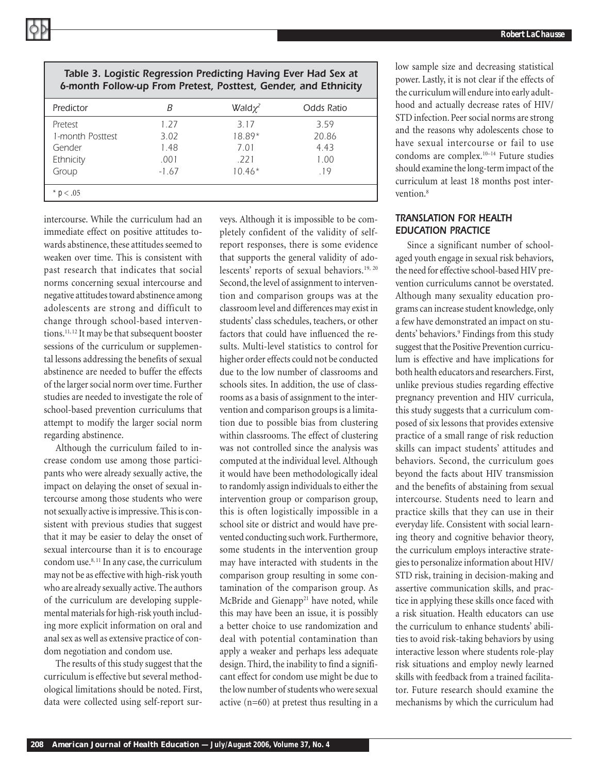| Table 3. Logistic Regression Predicting Having Ever Had Sex at<br>6-month Follow-up From Pretest, Posttest, Gender, and Ethnicity |         |               |            |  |
|-----------------------------------------------------------------------------------------------------------------------------------|---------|---------------|------------|--|
| Predictor                                                                                                                         | R       | Wald $\chi^2$ | Odds Ratio |  |
| Pretest                                                                                                                           | 1 27    | 3 1 7         | 359        |  |
| 1-month Posttest                                                                                                                  | 3.02    | 18.89*        | 20.86      |  |
| Gender                                                                                                                            | 1.48    | 7.01          | 4.43       |  |
| Ethnicity                                                                                                                         | .001    | .221          | 1.00       |  |
| Group                                                                                                                             | $-1.67$ | $10.46*$      | .19        |  |
| * $p < .05$                                                                                                                       |         |               |            |  |

intercourse. While the curriculum had an immediate effect on positive attitudes towards abstinence, these attitudes seemed to weaken over time. This is consistent with past research that indicates that social norms concerning sexual intercourse and negative attitudes toward abstinence among adolescents are strong and difficult to change through school-based interventions.11, 12 It may be that subsequent booster sessions of the curriculum or supplemental lessons addressing the benefits of sexual abstinence are needed to buffer the effects of the larger social norm over time. Further studies are needed to investigate the role of school-based prevention curriculums that attempt to modify the larger social norm regarding abstinence.

Although the curriculum failed to increase condom use among those participants who were already sexually active, the impact on delaying the onset of sexual intercourse among those students who were not sexually active is impressive. This is consistent with previous studies that suggest that it may be easier to delay the onset of sexual intercourse than it is to encourage condom use.<sup>8,11</sup> In any case, the curriculum may not be as effective with high-risk youth who are already sexually active. The authors of the curriculum are developing supplemental materials for high-risk youth including more explicit information on oral and anal sex as well as extensive practice of condom negotiation and condom use.

The results of this study suggest that the curriculum is effective but several methodological limitations should be noted. First, data were collected using self-report surveys. Although it is impossible to be completely confident of the validity of selfreport responses, there is some evidence that supports the general validity of adolescents' reports of sexual behaviors.<sup>19, 20</sup> Second, the level of assignment to intervention and comparison groups was at the classroom level and differences may exist in students' class schedules, teachers, or other factors that could have influenced the results. Multi-level statistics to control for higher order effects could not be conducted due to the low number of classrooms and schools sites. In addition, the use of classrooms as a basis of assignment to the intervention and comparison groups is a limitation due to possible bias from clustering within classrooms. The effect of clustering was not controlled since the analysis was computed at the individual level. Although it would have been methodologically ideal to randomly assign individuals to either the intervention group or comparison group, this is often logistically impossible in a school site or district and would have prevented conducting such work. Furthermore, some students in the intervention group may have interacted with students in the comparison group resulting in some contamination of the comparison group. As McBride and Gienapp<sup>21</sup> have noted, while this may have been an issue, it is possibly a better choice to use randomization and deal with potential contamination than apply a weaker and perhaps less adequate design. Third, the inability to find a significant effect for condom use might be due to the low number of students who were sexual active (n=60) at pretest thus resulting in a

low sample size and decreasing statistical power. Lastly, it is not clear if the effects of the curriculum will endure into early adulthood and actually decrease rates of HIV/ STD infection. Peer social norms are strong and the reasons why adolescents chose to have sexual intercourse or fail to use condoms are complex.<sup>10-14</sup> Future studies should examine the long-term impact of the curriculum at least 18 months post intervention.<sup>8</sup>

## *TRANSLATION FOR HEALTH EDUCATION PRACTICE*

Since a significant number of schoolaged youth engage in sexual risk behaviors, the need for effective school-based HIV prevention curriculums cannot be overstated. Although many sexuality education programs can increase student knowledge, only a few have demonstrated an impact on students' behaviors.9 Findings from this study suggest that the Positive Prevention curriculum is effective and have implications for both health educators and researchers. First, unlike previous studies regarding effective pregnancy prevention and HIV curricula, this study suggests that a curriculum composed of six lessons that provides extensive practice of a small range of risk reduction skills can impact students' attitudes and behaviors. Second, the curriculum goes beyond the facts about HIV transmission and the benefits of abstaining from sexual intercourse. Students need to learn and practice skills that they can use in their everyday life. Consistent with social learning theory and cognitive behavior theory, the curriculum employs interactive strategies to personalize information about HIV/ STD risk, training in decision-making and assertive communication skills, and practice in applying these skills once faced with a risk situation. Health educators can use the curriculum to enhance students' abilities to avoid risk-taking behaviors by using interactive lesson where students role-play risk situations and employ newly learned skills with feedback from a trained facilitator. Future research should examine the mechanisms by which the curriculum had